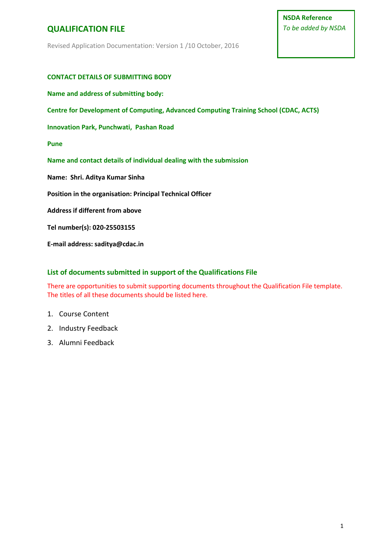**NSDA Reference** *To be added by NSDA*

Revised Application Documentation: Version 1 /10 October, 2016

# **CONTACT DETAILS OF SUBMITTING BODY Name and address of submitting body: Centre for Development of Computing, Advanced Computing Training School (CDAC, ACTS) Innovation Park, Punchwati, Pashan Road Pune Name and contact details of individual dealing with the submission Name: Shri. Aditya Kumar Sinha Position in the organisation: Principal Technical Officer Address if different from above Tel number(s): 020-25503155 E-mail address: saditya@cdac.in**

### **List of documents submitted in support of the Qualifications File**

There are opportunities to submit supporting documents throughout the Qualification File template. The titles of all these documents should be listed here.

- 1. Course Content
- 2. Industry Feedback
- 3. Alumni Feedback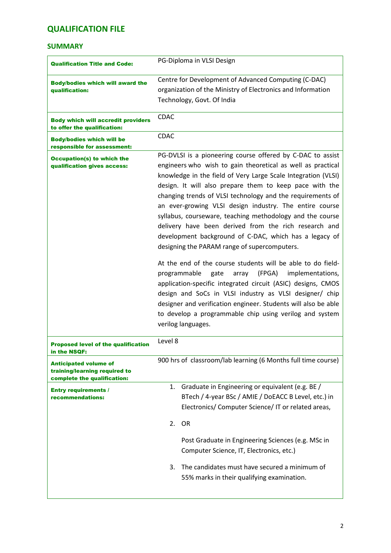### **SUMMARY**

| <b>Qualification Title and Code:</b>                                                         | PG-Diploma in VLSI Design                                                                                                                                                                                                                                                                                                                                                                                                                                                                                                                                                                                                                                                                                                                                                                                    |  |  |  |
|----------------------------------------------------------------------------------------------|--------------------------------------------------------------------------------------------------------------------------------------------------------------------------------------------------------------------------------------------------------------------------------------------------------------------------------------------------------------------------------------------------------------------------------------------------------------------------------------------------------------------------------------------------------------------------------------------------------------------------------------------------------------------------------------------------------------------------------------------------------------------------------------------------------------|--|--|--|
| <b>Body/bodies which will award the</b><br>qualification:                                    | Centre for Development of Advanced Computing (C-DAC)<br>organization of the Ministry of Electronics and Information<br>Technology, Govt. Of India                                                                                                                                                                                                                                                                                                                                                                                                                                                                                                                                                                                                                                                            |  |  |  |
| <b>Body which will accredit providers</b><br>to offer the qualification:                     | <b>CDAC</b>                                                                                                                                                                                                                                                                                                                                                                                                                                                                                                                                                                                                                                                                                                                                                                                                  |  |  |  |
| <b>Body/bodies which will be</b><br>responsible for assessment:                              | <b>CDAC</b>                                                                                                                                                                                                                                                                                                                                                                                                                                                                                                                                                                                                                                                                                                                                                                                                  |  |  |  |
| <b>Occupation(s) to which the</b><br>qualification gives access:                             | PG-DVLSI is a pioneering course offered by C-DAC to assist<br>engineers who wish to gain theoretical as well as practical<br>knowledge in the field of Very Large Scale Integration (VLSI)<br>design. It will also prepare them to keep pace with the<br>changing trends of VLSI technology and the requirements of<br>an ever-growing VLSI design industry. The entire course<br>syllabus, courseware, teaching methodology and the course<br>delivery have been derived from the rich research and<br>development background of C-DAC, which has a legacy of<br>designing the PARAM range of supercomputers.<br>At the end of the course students will be able to do field-<br>programmable<br>(FPGA)<br>implementations,<br>gate<br>array<br>application-specific integrated circuit (ASIC) designs, CMOS |  |  |  |
|                                                                                              | design and SoCs in VLSI industry as VLSI designer/ chip<br>designer and verification engineer. Students will also be able<br>to develop a programmable chip using verilog and system<br>verilog languages.                                                                                                                                                                                                                                                                                                                                                                                                                                                                                                                                                                                                   |  |  |  |
| <b>Proposed level of the qualification</b><br>in the NSQF:                                   | Level 8                                                                                                                                                                                                                                                                                                                                                                                                                                                                                                                                                                                                                                                                                                                                                                                                      |  |  |  |
| <b>Anticipated volume of</b><br>training/learning required to<br>complete the qualification: | 900 hrs of classroom/lab learning (6 Months full time course)                                                                                                                                                                                                                                                                                                                                                                                                                                                                                                                                                                                                                                                                                                                                                |  |  |  |
| <b>Entry requirements /</b><br>recommendations:                                              | Graduate in Engineering or equivalent (e.g. BE /<br>1.<br>BTech / 4-year BSc / AMIE / DoEACC B Level, etc.) in<br>Electronics/ Computer Science/IT or related areas,<br>2.<br>OR<br>Post Graduate in Engineering Sciences (e.g. MSc in<br>Computer Science, IT, Electronics, etc.)<br>The candidates must have secured a minimum of<br>3.<br>55% marks in their qualifying examination.                                                                                                                                                                                                                                                                                                                                                                                                                      |  |  |  |
|                                                                                              |                                                                                                                                                                                                                                                                                                                                                                                                                                                                                                                                                                                                                                                                                                                                                                                                              |  |  |  |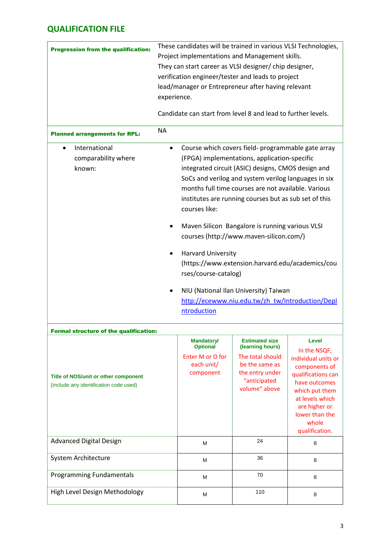| <b>Progression from the qualification:</b>                                     | These candidates will be trained in various VLSI Technologies,<br>Project implementations and Management skills.<br>They can start career as VLSI designer/ chip designer,<br>verification engineer/tester and leads to project<br>lead/manager or Entrepreneur after having relevant<br>experience.<br>Candidate can start from level 8 and lead to further levels. |                                                                                     |                                                                                                                                                                                                                                                                                                                                                                                                                                                                                                                                                                                 |                                                                                                                                                                                                         |  |
|--------------------------------------------------------------------------------|----------------------------------------------------------------------------------------------------------------------------------------------------------------------------------------------------------------------------------------------------------------------------------------------------------------------------------------------------------------------|-------------------------------------------------------------------------------------|---------------------------------------------------------------------------------------------------------------------------------------------------------------------------------------------------------------------------------------------------------------------------------------------------------------------------------------------------------------------------------------------------------------------------------------------------------------------------------------------------------------------------------------------------------------------------------|---------------------------------------------------------------------------------------------------------------------------------------------------------------------------------------------------------|--|
| <b>Planned arrangements for RPL:</b>                                           | <b>NA</b>                                                                                                                                                                                                                                                                                                                                                            |                                                                                     |                                                                                                                                                                                                                                                                                                                                                                                                                                                                                                                                                                                 |                                                                                                                                                                                                         |  |
| International<br>$\bullet$<br>comparability where<br>known:                    | $\bullet$                                                                                                                                                                                                                                                                                                                                                            | courses like:<br><b>Harvard University</b><br>rses/course-catalog)<br>ntroduction   | Course which covers field- programmable gate array<br>(FPGA) implementations, application-specific<br>integrated circuit (ASIC) designs, CMOS design and<br>SoCs and verilog and system verilog languages in six<br>months full time courses are not available. Various<br>institutes are running courses but as sub set of this<br>Maven Silicon Bangalore is running various VLSI<br>courses (http://www.maven-silicon.com/)<br>(https://www.extension.harvard.edu/academics/cou<br>NIU (National Ilan University) Taiwan<br>http://ecewww.niu.edu.tw/zh_tw/Introduction/Depl |                                                                                                                                                                                                         |  |
| <b>Formal structure of the qualification:</b>                                  |                                                                                                                                                                                                                                                                                                                                                                      |                                                                                     |                                                                                                                                                                                                                                                                                                                                                                                                                                                                                                                                                                                 |                                                                                                                                                                                                         |  |
| Title of NOS/unit or other component<br>(include any identification code used) |                                                                                                                                                                                                                                                                                                                                                                      | <b>Mandatory/</b><br><b>Optional</b><br>Enter M or O for<br>each unit/<br>component | <b>Estimated size</b><br>(learning hours)<br>The total should<br>be the same as<br>the entry under<br>"anticipated<br>volume" above                                                                                                                                                                                                                                                                                                                                                                                                                                             | Level<br>In the NSQF,<br>individual units or<br>components of<br>qualifications can<br>have outcomes<br>which put them<br>at levels which<br>are higher or<br>lower than the<br>whole<br>qualification. |  |
| <b>Advanced Digital Design</b>                                                 |                                                                                                                                                                                                                                                                                                                                                                      | М                                                                                   | 24                                                                                                                                                                                                                                                                                                                                                                                                                                                                                                                                                                              | 8                                                                                                                                                                                                       |  |
| System Architecture                                                            |                                                                                                                                                                                                                                                                                                                                                                      | M                                                                                   | 36                                                                                                                                                                                                                                                                                                                                                                                                                                                                                                                                                                              | 8                                                                                                                                                                                                       |  |
| <b>Programming Fundamentals</b>                                                |                                                                                                                                                                                                                                                                                                                                                                      | М                                                                                   | 70                                                                                                                                                                                                                                                                                                                                                                                                                                                                                                                                                                              | 8                                                                                                                                                                                                       |  |
| High Level Design Methodology                                                  |                                                                                                                                                                                                                                                                                                                                                                      | М                                                                                   | 110                                                                                                                                                                                                                                                                                                                                                                                                                                                                                                                                                                             | 8                                                                                                                                                                                                       |  |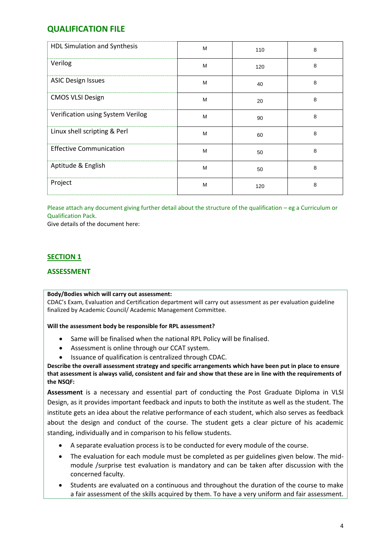| <b>HDL Simulation and Synthesis</b> | M | 110 | 8 |
|-------------------------------------|---|-----|---|
| Verilog                             | M | 120 | 8 |
| <b>ASIC Design Issues</b>           | M | 40  | 8 |
| <b>CMOS VLSI Design</b>             | M | 20  | 8 |
| Verification using System Verilog   | M | 90  | 8 |
| Linux shell scripting & Perl        | M | 60  | 8 |
| <b>Effective Communication</b>      | M | 50  | 8 |
| Aptitude & English                  | M | 50  | 8 |
| Project                             | M | 120 | 8 |

Please attach any document giving further detail about the structure of the qualification – eg a Curriculum or Qualification Pack.

Give details of the document here:

### **SECTION 1**

### **ASSESSMENT**

#### **Body/Bodies which will carry out assessment:**

CDAC's Exam, Evaluation and Certification department will carry out assessment as per evaluation guideline finalized by Academic Council/ Academic Management Committee.

#### **Will the assessment body be responsible for RPL assessment?**

- Same will be finalised when the national RPL Policy will be finalised.
- Assessment is online through our CCAT system.
- Issuance of qualification is centralized through CDAC.

**Describe the overall assessment strategy and specific arrangements which have been put in place to ensure that assessment is always valid, consistent and fair and show that these are in line with the requirements of the NSQF:**

**Assessment** is a necessary and essential part of conducting the Post Graduate Diploma in VLSI Design, as it provides important feedback and inputs to both the institute as well as the student. The institute gets an idea about the relative performance of each student, which also serves as feedback about the design and conduct of the course. The student gets a clear picture of his academic standing, individually and in comparison to his fellow students.

- A separate evaluation process is to be conducted for every module of the course.
- The evaluation for each module must be completed as per guidelines given below. The midmodule /surprise test evaluation is mandatory and can be taken after discussion with the concerned faculty.
- Students are evaluated on a continuous and throughout the duration of the course to make a fair assessment of the skills acquired by them. To have a very uniform and fair assessment.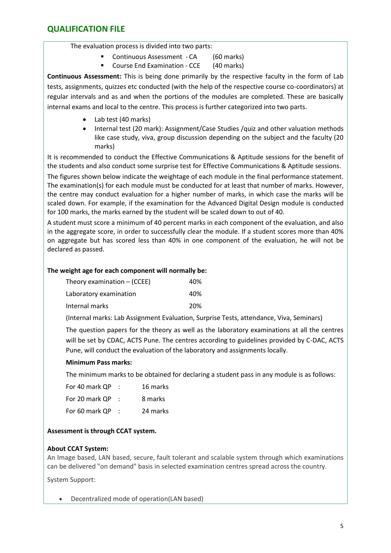The evaluation process is divided into two parts:

- Continuous Assessment CA (60 marks)
- Course End Examination CCE (40 marks)

**Continuous Assessment:** This is being done primarily by the respective faculty in the form of Lab tests, assignments, quizzes etc conducted (with the help of the respective course co-coordinators) at regular intervals and as and when the portions of the modules are completed. These are basically internal exams and local to the centre. This process is further categorized into two parts.

- Lab test (40 marks)
- Internal test (20 mark): Assignment/Case Studies /quiz and other valuation methods like case study, viva, group discussion depending on the subject and the faculty (20 marks)

It is recommended to conduct the Effective Communications & Aptitude sessions for the benefit of the students and also conduct some surprise test for Effective Communications & Aptitude sessions.

The figures shown below indicate the weightage of each module in the final performance statement. The examination(s) for each module must be conducted for at least that number of marks. However, the centre may conduct evaluation for a higher number of marks, in which case the marks will be scaled down. For example, if the examination for the Advanced Digital Design module is conducted for 100 marks, the marks earned by the student will be scaled down to out of 40.

A student must score a minimum of 40 percent marks in each component of the evaluation, and also in the aggregate score, in order to successfully clear the module. If a student scores more than 40% on aggregate but has scored less than 40% in one component of the evaluation, he will not be declared as passed.

### **The weight age for each component will normally be:**

| Theory examination $-$ (CCEE) | 40% |
|-------------------------------|-----|
| Laboratory examination        | 40% |
| Internal marks                | 20% |

(Internal marks: Lab Assignment Evaluation, Surprise Tests, attendance, Viva, Seminars)

The question papers for the theory as well as the laboratory examinations at all the centres will be set by CDAC, ACTS Pune. The centres according to guidelines provided by C-DAC, ACTS Pune, will conduct the evaluation of the laboratory and assignments locally.

### **Minimum Pass marks:**

The minimum marks to be obtained for declaring a student pass in any module is as follows:

| For 40 mark QP | 16 marks |
|----------------|----------|
| For 20 mark QP | 8 marks  |
| For 60 mark QP | 24 marks |

### **Assessment is through CCAT system.**

### **About CCAT System:**

An Image based, LAN based, secure, fault tolerant and scalable system through which examinations can be delivered "on demand" basis in selected examination centres spread across the country.

System Support:

Decentralized mode of operation(LAN based)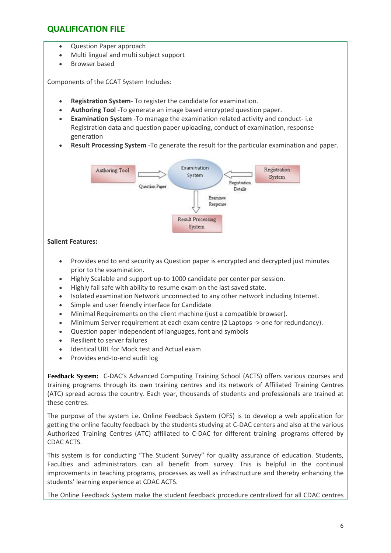- Question Paper approach
- Multi lingual and multi subject support
- **•** Browser based

Components of the CCAT System Includes:

- **Registration System** To register the candidate for examination.
- **Authoring Tool** -To generate an image based encrypted question paper.
- **Examination System** -To manage the examination related activity and conduct- i.e Registration data and question paper uploading, conduct of examination, response generation
- **Result Processing System** -To generate the result for the particular examination and paper.



### **Salient Features:**

- Provides end to end security as Question paper is encrypted and decrypted just minutes prior to the examination.
- Highly Scalable and support up-to 1000 candidate per center per session.
- Highly fail safe with ability to resume exam on the last saved state.
- Isolated examination Network unconnected to any other network including Internet.
- Simple and user friendly interface for Candidate
- Minimal Requirements on the client machine (just a compatible browser).
- Minimum Server requirement at each exam centre (2 Laptops -> one for redundancy).
- Question paper independent of languages, font and symbols
- Resilient to server failures
- Identical URL for Mock test and Actual exam
- Provides end-to-end audit log

**Feedback System:** C-DAC's Advanced Computing Training School (ACTS) offers various courses and training programs through its own training centres and its network of Affiliated Training Centres (ATC) spread across the country. Each year, thousands of students and professionals are trained at these centres.

The purpose of the system i.e. Online Feedback System (OFS) is to develop a web application for getting the online faculty feedback by the students studying at C-DAC centers and also at the various Authorized Training Centres (ATC) affiliated to C-DAC for different training programs offered by CDAC ACTS.

This system is for conducting "The Student Survey" for quality assurance of education. Students, Faculties and administrators can all benefit from survey. This is helpful in the continual improvements in teaching programs, processes as well as infrastructure and thereby enhancing the students' learning experience at CDAC ACTS.

The Online Feedback System make the student feedback procedure centralized for all CDAC centres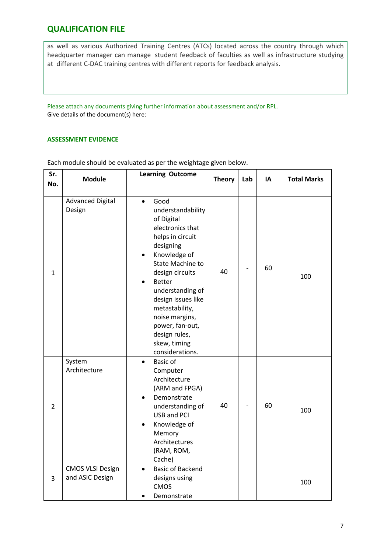as well as various Authorized Training Centres (ATCs) located across the country through which headquarter manager can manage student feedback of faculties as well as infrastructure studying at different C-DAC training centres with different reports for feedback analysis.

Please attach any documents giving further information about assessment and/or RPL. Give details of the document(s) here:

### **ASSESSMENT EVIDENCE**

| Sr.<br>No.     | <b>Module</b>                              | <b>Learning Outcome</b>                                                                                                                                                                                                                                                                                                                       | <b>Theory</b> | Lab | IA | <b>Total Marks</b> |
|----------------|--------------------------------------------|-----------------------------------------------------------------------------------------------------------------------------------------------------------------------------------------------------------------------------------------------------------------------------------------------------------------------------------------------|---------------|-----|----|--------------------|
| $\mathbf{1}$   | <b>Advanced Digital</b><br>Design          | Good<br>$\bullet$<br>understandability<br>of Digital<br>electronics that<br>helps in circuit<br>designing<br>Knowledge of<br><b>State Machine to</b><br>design circuits<br><b>Better</b><br>understanding of<br>design issues like<br>metastability,<br>noise margins,<br>power, fan-out,<br>design rules,<br>skew, timing<br>considerations. | 40            |     | 60 | 100                |
| $\overline{2}$ | System<br>Architecture                     | Basic of<br>Computer<br>Architecture<br>(ARM and FPGA)<br>Demonstrate<br>understanding of<br><b>USB and PCI</b><br>Knowledge of<br>Memory<br>Architectures<br>(RAM, ROM,<br>Cache)                                                                                                                                                            | 40            |     | 60 | 100                |
| 3              | <b>CMOS VLSI Design</b><br>and ASIC Design | <b>Basic of Backend</b><br>designs using<br><b>CMOS</b><br>Demonstrate                                                                                                                                                                                                                                                                        |               |     |    | 100                |

Each module should be evaluated as per the weightage given below.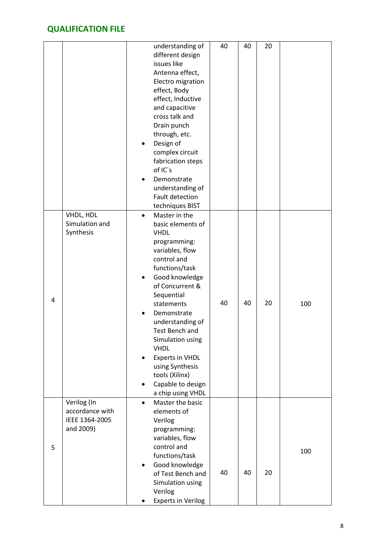|   |                                                               | $\bullet$              | understanding of<br>different design<br>issues like<br>Antenna effect,<br>Electro migration<br>effect, Body<br>effect, Inductive<br>and capacitive<br>cross talk and<br>Drain punch<br>through, etc.<br>Design of<br>complex circuit<br>fabrication steps<br>of IC's<br>Demonstrate<br>understanding of<br>Fault detection<br>techniques BIST                                                  | 40 | 40 | 20 |     |
|---|---------------------------------------------------------------|------------------------|------------------------------------------------------------------------------------------------------------------------------------------------------------------------------------------------------------------------------------------------------------------------------------------------------------------------------------------------------------------------------------------------|----|----|----|-----|
| 4 | VHDL, HDL<br>Simulation and<br>Synthesis                      | $\bullet$              | Master in the<br>basic elements of<br><b>VHDL</b><br>programming:<br>variables, flow<br>control and<br>functions/task<br>Good knowledge<br>of Concurrent &<br>Sequential<br>statements<br>Demonstrate<br>understanding of<br><b>Test Bench and</b><br>Simulation using<br><b>VHDL</b><br><b>Experts in VHDL</b><br>using Synthesis<br>tools (Xilinx)<br>Capable to design<br>a chip using VHDL | 40 | 40 | 20 | 100 |
| 5 | Verilog (In<br>accordance with<br>IEEE 1364-2005<br>and 2009) | $\bullet$<br>$\bullet$ | Master the basic<br>elements of<br>Verilog<br>programming:<br>variables, flow<br>control and<br>functions/task<br>Good knowledge<br>of Test Bench and<br>Simulation using<br>Verilog<br><b>Experts in Verilog</b>                                                                                                                                                                              | 40 | 40 | 20 | 100 |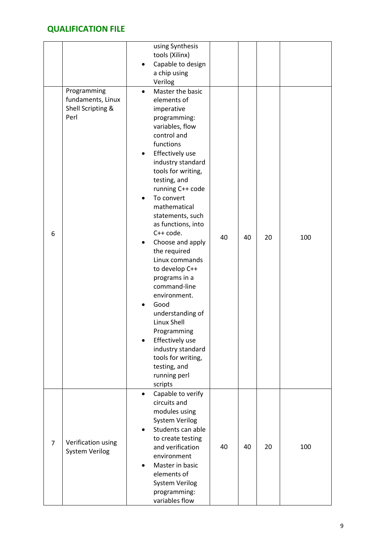|                |                                                               | using Synthesis<br>tools (Xilinx)<br>Capable to design<br>a chip using<br>Verilog                                                                                                                                                                                                                                                                                                                                                                                                                                                                                                                                                        |     |
|----------------|---------------------------------------------------------------|------------------------------------------------------------------------------------------------------------------------------------------------------------------------------------------------------------------------------------------------------------------------------------------------------------------------------------------------------------------------------------------------------------------------------------------------------------------------------------------------------------------------------------------------------------------------------------------------------------------------------------------|-----|
| 6              | Programming<br>fundaments, Linux<br>Shell Scripting &<br>Perl | Master the basic<br>$\bullet$<br>elements of<br>imperative<br>programming:<br>variables, flow<br>control and<br>functions<br>Effectively use<br>٠<br>industry standard<br>tools for writing,<br>testing, and<br>running C++ code<br>To convert<br>mathematical<br>statements, such<br>as functions, into<br>C++ code.<br>40<br>40<br>20<br>Choose and apply<br>٠<br>the required<br>Linux commands<br>to develop C++<br>programs in a<br>command-line<br>environment.<br>Good<br>understanding of<br>Linux Shell<br>Programming<br>Effectively use<br>industry standard<br>tools for writing,<br>testing, and<br>running perl<br>scripts | 100 |
| $\overline{7}$ | Verification using<br><b>System Verilog</b>                   | Capable to verify<br>$\bullet$<br>circuits and<br>modules using<br><b>System Verilog</b><br>Students can able<br>to create testing<br>and verification<br>40<br>40<br>20<br>environment<br>Master in basic<br>elements of<br><b>System Verilog</b><br>programming:<br>variables flow                                                                                                                                                                                                                                                                                                                                                     | 100 |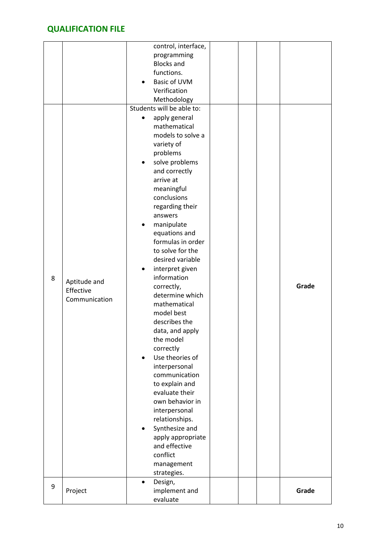| 8 | Aptitude and<br>Effective<br>Communication | control, interface,<br>programming<br><b>Blocks and</b><br>functions.<br>Basic of UVM<br>Verification<br>Methodology<br>Students will be able to:<br>apply general<br>$\bullet$<br>mathematical<br>models to solve a<br>variety of<br>problems<br>solve problems<br>٠<br>and correctly<br>arrive at<br>meaningful<br>conclusions<br>regarding their<br>answers<br>manipulate<br>٠<br>equations and<br>formulas in order<br>to solve for the<br>desired variable<br>interpret given<br>information<br>correctly,<br>determine which<br>mathematical<br>model best<br>describes the<br>data, and apply<br>the model<br>correctly<br>Use theories of<br>interpersonal<br>communication<br>to explain and<br>evaluate their<br>own behavior in<br>interpersonal<br>relationships.<br>Synthesize and<br>apply appropriate<br>and effective<br>conflict<br>management<br>strategies. | Grade |
|---|--------------------------------------------|--------------------------------------------------------------------------------------------------------------------------------------------------------------------------------------------------------------------------------------------------------------------------------------------------------------------------------------------------------------------------------------------------------------------------------------------------------------------------------------------------------------------------------------------------------------------------------------------------------------------------------------------------------------------------------------------------------------------------------------------------------------------------------------------------------------------------------------------------------------------------------|-------|
| 9 | Project                                    | Design,<br>$\bullet$<br>implement and<br>evaluate                                                                                                                                                                                                                                                                                                                                                                                                                                                                                                                                                                                                                                                                                                                                                                                                                              | Grade |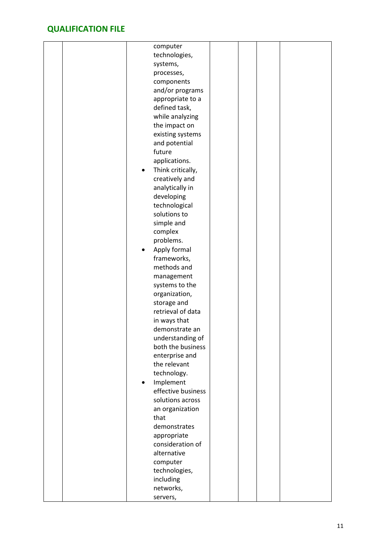|  |           | computer           |  |  |  |
|--|-----------|--------------------|--|--|--|
|  |           | technologies,      |  |  |  |
|  |           | systems,           |  |  |  |
|  |           | processes,         |  |  |  |
|  |           | components         |  |  |  |
|  |           | and/or programs    |  |  |  |
|  |           | appropriate to a   |  |  |  |
|  |           | defined task,      |  |  |  |
|  |           | while analyzing    |  |  |  |
|  |           | the impact on      |  |  |  |
|  |           | existing systems   |  |  |  |
|  |           | and potential      |  |  |  |
|  |           | future             |  |  |  |
|  |           | applications.      |  |  |  |
|  | $\bullet$ | Think critically,  |  |  |  |
|  |           | creatively and     |  |  |  |
|  |           | analytically in    |  |  |  |
|  |           | developing         |  |  |  |
|  |           | technological      |  |  |  |
|  |           | solutions to       |  |  |  |
|  |           | simple and         |  |  |  |
|  |           | complex            |  |  |  |
|  |           | problems.          |  |  |  |
|  |           | Apply formal       |  |  |  |
|  |           | frameworks,        |  |  |  |
|  |           | methods and        |  |  |  |
|  |           | management         |  |  |  |
|  |           | systems to the     |  |  |  |
|  |           | organization,      |  |  |  |
|  |           | storage and        |  |  |  |
|  |           | retrieval of data  |  |  |  |
|  |           | in ways that       |  |  |  |
|  |           | demonstrate an     |  |  |  |
|  |           | understanding of   |  |  |  |
|  |           | both the business  |  |  |  |
|  |           | enterprise and     |  |  |  |
|  |           | the relevant       |  |  |  |
|  |           | technology.        |  |  |  |
|  | $\bullet$ | Implement          |  |  |  |
|  |           | effective business |  |  |  |
|  |           | solutions across   |  |  |  |
|  |           | an organization    |  |  |  |
|  |           | that               |  |  |  |
|  |           | demonstrates       |  |  |  |
|  |           | appropriate        |  |  |  |
|  |           | consideration of   |  |  |  |
|  |           | alternative        |  |  |  |
|  |           | computer           |  |  |  |
|  |           | technologies,      |  |  |  |
|  |           | including          |  |  |  |
|  |           | networks,          |  |  |  |
|  |           | servers,           |  |  |  |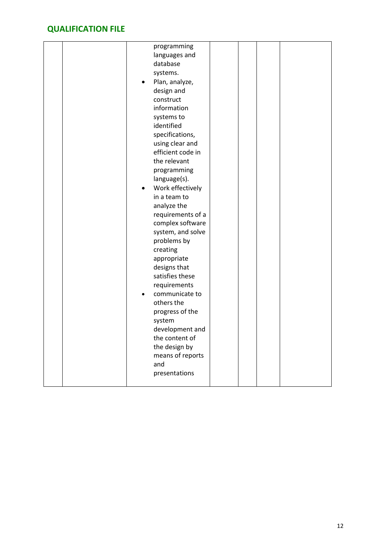| programming<br>languages and<br>database<br>systems.<br>Plan, analyze,<br>design and<br>construct<br>information<br>systems to<br>identified<br>specifications,<br>using clear and<br>efficient code in<br>the relevant<br>programming<br>language(s).<br>Work effectively<br>in a team to<br>analyze the<br>requirements of a<br>complex software<br>system, and solve<br>problems by<br>creating<br>appropriate<br>designs that<br>satisfies these<br>requirements<br>communicate to<br>others the<br>progress of the<br>system<br>development and<br>the content of<br>the design by<br>means of reports<br>and<br>presentations |  |  |  |
|-------------------------------------------------------------------------------------------------------------------------------------------------------------------------------------------------------------------------------------------------------------------------------------------------------------------------------------------------------------------------------------------------------------------------------------------------------------------------------------------------------------------------------------------------------------------------------------------------------------------------------------|--|--|--|
|-------------------------------------------------------------------------------------------------------------------------------------------------------------------------------------------------------------------------------------------------------------------------------------------------------------------------------------------------------------------------------------------------------------------------------------------------------------------------------------------------------------------------------------------------------------------------------------------------------------------------------------|--|--|--|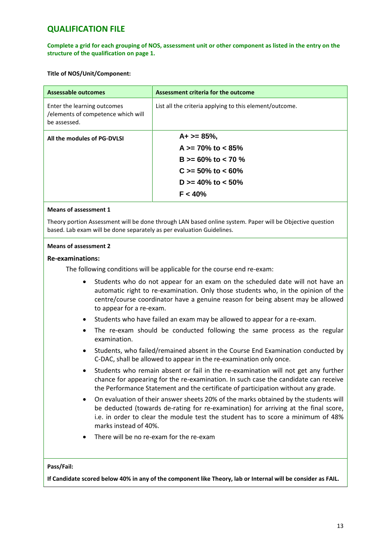#### **Complete a grid for each grouping of NOS, assessment unit or other component as listed in the entry on the structure of the qualification on page 1.**

#### **Title of NOS/Unit/Component:**

| Assessable outcomes                                                               | Assessment criteria for the outcome                     |
|-----------------------------------------------------------------------------------|---------------------------------------------------------|
| Enter the learning outcomes<br>/elements of competence which will<br>be assessed. | List all the criteria applying to this element/outcome. |
| All the modules of PG-DVLSI                                                       | $A+>=85%$                                               |
|                                                                                   | A $>= 70\%$ to $< 85\%$                                 |
|                                                                                   | $B \ge 60\%$ to < 70 %                                  |
|                                                                                   | $C \ge 50\%$ to < 60%                                   |
|                                                                                   | D $>= 40\%$ to $< 50\%$                                 |
|                                                                                   | F < 40%                                                 |

#### **Means of assessment 1**

Theory portion Assessment will be done through LAN based online system. Paper will be Objective question based. Lab exam will be done separately as per evaluation Guidelines.

#### **Means of assessment 2**

#### **Re-examinations:**

The following conditions will be applicable for the course end re-exam:

- Students who do not appear for an exam on the scheduled date will not have an automatic right to re-examination. Only those students who, in the opinion of the centre/course coordinator have a genuine reason for being absent may be allowed to appear for a re-exam.
- Students who have failed an exam may be allowed to appear for a re-exam.
- The re-exam should be conducted following the same process as the regular examination.
- Students, who failed/remained absent in the Course End Examination conducted by C-DAC, shall be allowed to appear in the re-examination only once.
- Students who remain absent or fail in the re-examination will not get any further chance for appearing for the re-examination. In such case the candidate can receive the Performance Statement and the certificate of participation without any grade.
- On evaluation of their answer sheets 20% of the marks obtained by the students will be deducted (towards de-rating for re-examination) for arriving at the final score, i.e. in order to clear the module test the student has to score a minimum of 48% marks instead of 40%.
- There will be no re-exam for the re-exam

#### **Pass/Fail:**

**If Candidate scored below 40% in any of the component like Theory, lab or Internal will be consider as FAIL.**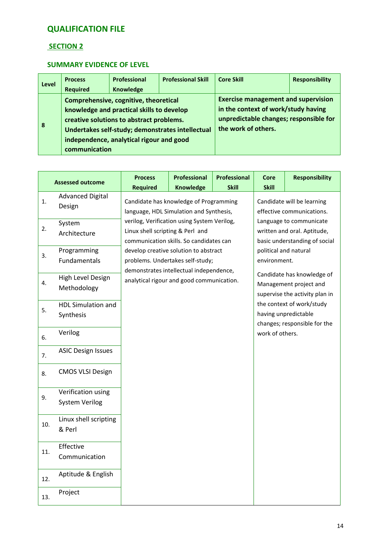### **SECTION 2**

### **SUMMARY EVIDENCE OF LEVEL**

| Level | <b>Process</b><br><b>Required</b>                                                                                                                                                                                                               | Professional<br><b>Knowledge</b> | <b>Professional Skill</b> | <b>Core Skill</b>                                                                                                                                  | <b>Responsibility</b> |
|-------|-------------------------------------------------------------------------------------------------------------------------------------------------------------------------------------------------------------------------------------------------|----------------------------------|---------------------------|----------------------------------------------------------------------------------------------------------------------------------------------------|-----------------------|
| 8     | Comprehensive, cognitive, theoretical<br>knowledge and practical skills to develop<br>creative solutions to abstract problems.<br>Undertakes self-study; demonstrates intellectual<br>independence, analytical rigour and good<br>communication |                                  |                           | <b>Exercise management and supervision</b><br>in the context of work/study having<br>unpredictable changes; responsible for<br>the work of others. |                       |

|     | <b>Assessed outcome</b>                     | <b>Process</b>                                                                                                                                                                                                                                                                                                                          | Professional | Professional | <b>Core</b>                                                                                                                                                                                 | <b>Responsibility</b>                                                                  |
|-----|---------------------------------------------|-----------------------------------------------------------------------------------------------------------------------------------------------------------------------------------------------------------------------------------------------------------------------------------------------------------------------------------------|--------------|--------------|---------------------------------------------------------------------------------------------------------------------------------------------------------------------------------------------|----------------------------------------------------------------------------------------|
|     |                                             | <b>Required</b>                                                                                                                                                                                                                                                                                                                         | Knowledge    | <b>Skill</b> | <b>Skill</b>                                                                                                                                                                                |                                                                                        |
| 1.  | <b>Advanced Digital</b><br>Design           | Candidate has knowledge of Programming<br>language, HDL Simulation and Synthesis,<br>verilog, Verification using System Verilog,<br>Linux shell scripting & Perl and<br>communication skills. So candidates can<br>develop creative solution to abstract<br>problems. Undertakes self-study;<br>demonstrates intellectual independence, |              |              | Candidate will be learning<br>effective communications.<br>Language to communicate<br>written and oral. Aptitude,<br>basic understanding of social<br>political and natural<br>environment. |                                                                                        |
| 2.  | System<br>Architecture                      |                                                                                                                                                                                                                                                                                                                                         |              |              |                                                                                                                                                                                             |                                                                                        |
| 3.  | Programming<br>Fundamentals                 |                                                                                                                                                                                                                                                                                                                                         |              |              |                                                                                                                                                                                             |                                                                                        |
| 4.  | High Level Design<br>Methodology            | analytical rigour and good communication.                                                                                                                                                                                                                                                                                               |              |              |                                                                                                                                                                                             | Candidate has knowledge of<br>Management project and<br>supervise the activity plan in |
| 5.  | <b>HDL Simulation and</b><br>Synthesis      |                                                                                                                                                                                                                                                                                                                                         |              |              |                                                                                                                                                                                             | the context of work/study<br>having unpredictable<br>changes; responsible for the      |
| 6.  | Verilog                                     |                                                                                                                                                                                                                                                                                                                                         |              |              | work of others.                                                                                                                                                                             |                                                                                        |
| 7.  | <b>ASIC Design Issues</b>                   |                                                                                                                                                                                                                                                                                                                                         |              |              |                                                                                                                                                                                             |                                                                                        |
| 8.  | <b>CMOS VLSI Design</b>                     |                                                                                                                                                                                                                                                                                                                                         |              |              |                                                                                                                                                                                             |                                                                                        |
| 9.  | Verification using<br><b>System Verilog</b> |                                                                                                                                                                                                                                                                                                                                         |              |              |                                                                                                                                                                                             |                                                                                        |
| 10. | Linux shell scripting<br>& Perl             |                                                                                                                                                                                                                                                                                                                                         |              |              |                                                                                                                                                                                             |                                                                                        |
| 11. | Effective<br>Communication                  |                                                                                                                                                                                                                                                                                                                                         |              |              |                                                                                                                                                                                             |                                                                                        |
| 12. | Aptitude & English                          |                                                                                                                                                                                                                                                                                                                                         |              |              |                                                                                                                                                                                             |                                                                                        |
| 13. | Project                                     |                                                                                                                                                                                                                                                                                                                                         |              |              |                                                                                                                                                                                             |                                                                                        |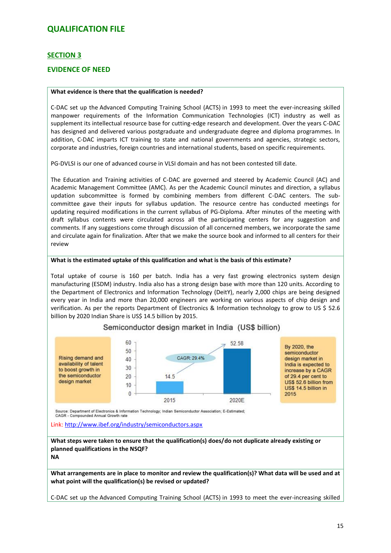### **SECTION 3**

#### **EVIDENCE OF NEED**

#### **What evidence is there that the qualification is needed?**

C-DAC set up the Advanced Computing Training School (ACTS) in 1993 to meet the ever-increasing skilled manpower requirements of the Information Communication Technologies (ICT) industry as well as supplement its intellectual resource base for cutting-edge research and development. Over the years C-DAC has designed and delivered various postgraduate and undergraduate degree and diploma programmes. In addition, C-DAC imparts ICT training to state and national governments and agencies, strategic sectors, corporate and industries, foreign countries and international students, based on specific requirements.

PG-DVLSI is our one of advanced course in VLSI domain and has not been contested till date.

The Education and Training activities of C-DAC are governed and steered by Academic Council (AC) and Academic Management Committee (AMC). As per the Academic Council minutes and direction, a syllabus updation subcommittee is formed by combining members from different C-DAC centers. The subcommittee gave their inputs for syllabus updation. The resource centre has conducted meetings for updating required modifications in the current syllabus of PG-Diploma. After minutes of the meeting with draft syllabus contents were circulated across all the participating centers for any suggestion and comments. If any suggestions come through discussion of all concerned members, we incorporate the same and circulate again for finalization. After that we make the source book and informed to all centers for their review

#### **What is the estimated uptake of this qualification and what is the basis of this estimate?**

Total uptake of course is 160 per batch. India has a very fast growing electronics system design manufacturing (ESDM) industry. India also has a strong design base with more than 120 units. According to the Department of Electronics and Information Technology (DeitY), nearly 2,000 chips are being designed every year in India and more than 20,000 engineers are working on various aspects of chip design and verification. As per the reports Department of Electronics & Information technology to grow to US \$ 52.6 billion by 2020 Indian Share is US\$ 14.5 billion by 2015.



### Semiconductor design market in India (US\$ billion)

Source: Department of Electronics & Information Technology; Indian Semiconductor Association; E-Estimated; CAGR - Compounded Annual Growth rate

Link[: http://www.ibef.org/industry/semiconductors.aspx](http://www.ibef.org/industry/semiconductors.aspx)

**What steps were taken to ensure that the qualification(s) does/do not duplicate already existing or planned qualifications in the NSQF?**

**NA**

**What arrangements are in place to monitor and review the qualification(s)? What data will be used and at what point will the qualification(s) be revised or updated?**

C-DAC set up the Advanced Computing Training School (ACTS) in 1993 to meet the ever-increasing skilled